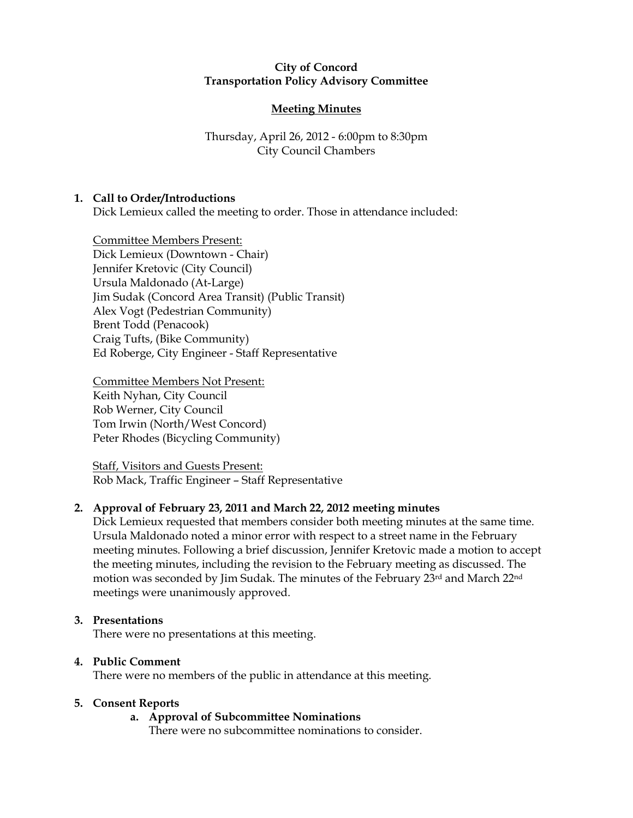### City of Concord Transportation Policy Advisory Committee

# Meeting Minutes

## Thursday, April 26, 2012 - 6:00pm to 8:30pm City Council Chambers

## 1. Call to Order/Introductions

Dick Lemieux called the meeting to order. Those in attendance included:

Committee Members Present: Dick Lemieux (Downtown - Chair) Jennifer Kretovic (City Council) Ursula Maldonado (At-Large) Jim Sudak (Concord Area Transit) (Public Transit) Alex Vogt (Pedestrian Community) Brent Todd (Penacook) Craig Tufts, (Bike Community) Ed Roberge, City Engineer - Staff Representative

Committee Members Not Present: Keith Nyhan, City Council Rob Werner, City Council Tom Irwin (North/West Concord) Peter Rhodes (Bicycling Community)

Staff, Visitors and Guests Present: Rob Mack, Traffic Engineer – Staff Representative

## 2. Approval of February 23, 2011 and March 22, 2012 meeting minutes

Dick Lemieux requested that members consider both meeting minutes at the same time. Ursula Maldonado noted a minor error with respect to a street name in the February meeting minutes. Following a brief discussion, Jennifer Kretovic made a motion to accept the meeting minutes, including the revision to the February meeting as discussed. The motion was seconded by Jim Sudak. The minutes of the February 23rd and March 22nd meetings were unanimously approved.

#### 3. Presentations

There were no presentations at this meeting.

## 4. Public Comment

There were no members of the public in attendance at this meeting.

#### 5. Consent Reports

## a. Approval of Subcommittee Nominations

There were no subcommittee nominations to consider.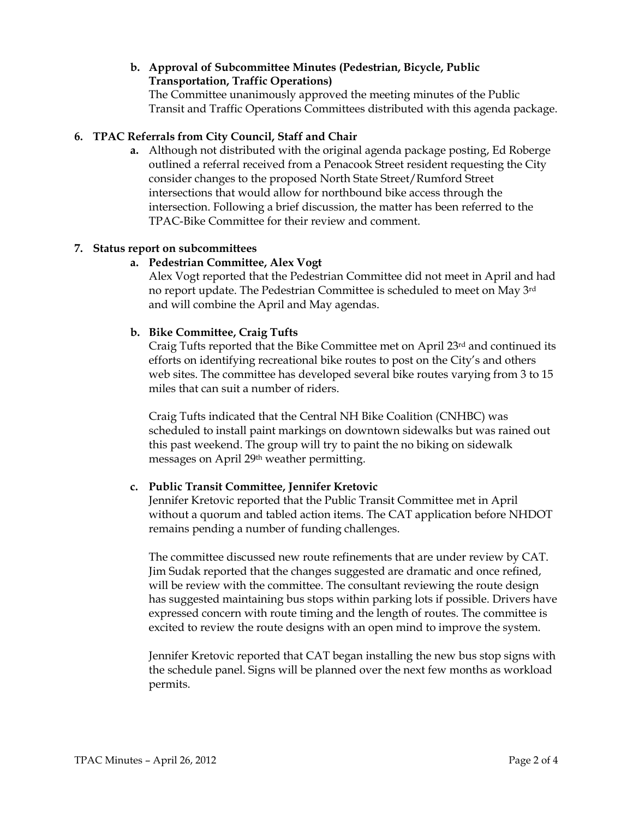# b. Approval of Subcommittee Minutes (Pedestrian, Bicycle, Public Transportation, Traffic Operations)

The Committee unanimously approved the meeting minutes of the Public Transit and Traffic Operations Committees distributed with this agenda package.

# 6. TPAC Referrals from City Council, Staff and Chair

a. Although not distributed with the original agenda package posting, Ed Roberge outlined a referral received from a Penacook Street resident requesting the City consider changes to the proposed North State Street/Rumford Street intersections that would allow for northbound bike access through the intersection. Following a brief discussion, the matter has been referred to the TPAC-Bike Committee for their review and comment.

## 7. Status report on subcommittees

## a. Pedestrian Committee, Alex Vogt

Alex Vogt reported that the Pedestrian Committee did not meet in April and had no report update. The Pedestrian Committee is scheduled to meet on May 3rd and will combine the April and May agendas.

#### b. Bike Committee, Craig Tufts

Craig Tufts reported that the Bike Committee met on April 23<sup>rd</sup> and continued its efforts on identifying recreational bike routes to post on the City's and others web sites. The committee has developed several bike routes varying from 3 to 15 miles that can suit a number of riders.

Craig Tufts indicated that the Central NH Bike Coalition (CNHBC) was scheduled to install paint markings on downtown sidewalks but was rained out this past weekend. The group will try to paint the no biking on sidewalk messages on April 29th weather permitting.

## c. Public Transit Committee, Jennifer Kretovic

Jennifer Kretovic reported that the Public Transit Committee met in April without a quorum and tabled action items. The CAT application before NHDOT remains pending a number of funding challenges.

The committee discussed new route refinements that are under review by CAT. Jim Sudak reported that the changes suggested are dramatic and once refined, will be review with the committee. The consultant reviewing the route design has suggested maintaining bus stops within parking lots if possible. Drivers have expressed concern with route timing and the length of routes. The committee is excited to review the route designs with an open mind to improve the system.

Jennifer Kretovic reported that CAT began installing the new bus stop signs with the schedule panel. Signs will be planned over the next few months as workload permits.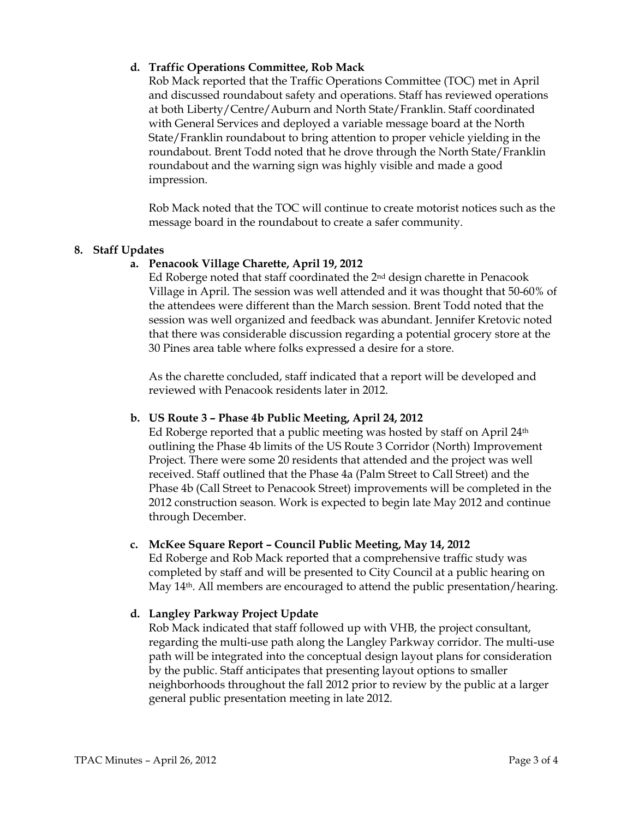## d. Traffic Operations Committee, Rob Mack

Rob Mack reported that the Traffic Operations Committee (TOC) met in April and discussed roundabout safety and operations. Staff has reviewed operations at both Liberty/Centre/Auburn and North State/Franklin. Staff coordinated with General Services and deployed a variable message board at the North State/Franklin roundabout to bring attention to proper vehicle yielding in the roundabout. Brent Todd noted that he drove through the North State/Franklin roundabout and the warning sign was highly visible and made a good impression.

Rob Mack noted that the TOC will continue to create motorist notices such as the message board in the roundabout to create a safer community.

## 8. Staff Updates

## a. Penacook Village Charette, April 19, 2012

Ed Roberge noted that staff coordinated the 2nd design charette in Penacook Village in April. The session was well attended and it was thought that 50-60% of the attendees were different than the March session. Brent Todd noted that the session was well organized and feedback was abundant. Jennifer Kretovic noted that there was considerable discussion regarding a potential grocery store at the 30 Pines area table where folks expressed a desire for a store.

As the charette concluded, staff indicated that a report will be developed and reviewed with Penacook residents later in 2012.

## b. US Route 3 – Phase 4b Public Meeting, April 24, 2012

Ed Roberge reported that a public meeting was hosted by staff on April  $24<sup>th</sup>$ outlining the Phase 4b limits of the US Route 3 Corridor (North) Improvement Project. There were some 20 residents that attended and the project was well received. Staff outlined that the Phase 4a (Palm Street to Call Street) and the Phase 4b (Call Street to Penacook Street) improvements will be completed in the 2012 construction season. Work is expected to begin late May 2012 and continue through December.

## c. McKee Square Report – Council Public Meeting, May 14, 2012

Ed Roberge and Rob Mack reported that a comprehensive traffic study was completed by staff and will be presented to City Council at a public hearing on May  $14<sup>th</sup>$ . All members are encouraged to attend the public presentation/hearing.

## d. Langley Parkway Project Update

Rob Mack indicated that staff followed up with VHB, the project consultant, regarding the multi-use path along the Langley Parkway corridor. The multi-use path will be integrated into the conceptual design layout plans for consideration by the public. Staff anticipates that presenting layout options to smaller neighborhoods throughout the fall 2012 prior to review by the public at a larger general public presentation meeting in late 2012.